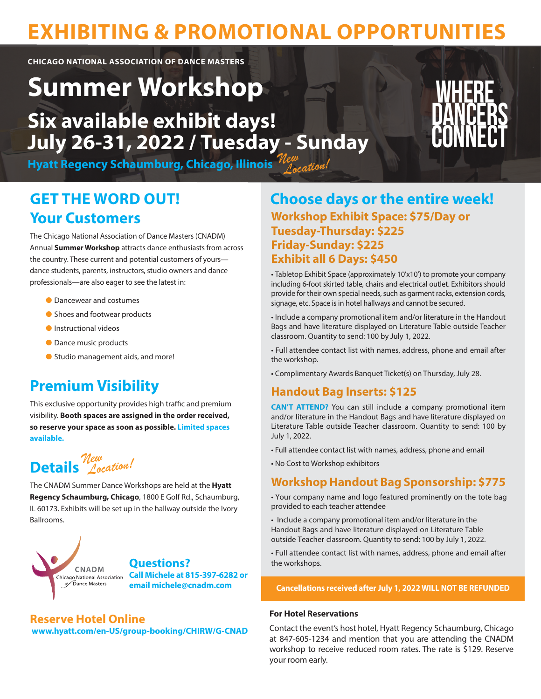## **EXHIBITING & PROMOTIONAL OPPORTUNITIES**

**CHICAGO NATIONAL ASSOCIATION OF DANCE MASTERS** 

# **Summer Workshop**

**Six available exhibit days!** *S*ix available exhibit days:<br>July 26-31, 2022 / Tuesday - Sunday uay

**Hyatt Regency Schaumburg, Chicago, Illinois** *New Location!*

# WHERE DANCERS CONNECT

**GET THE WORD OUT! Your Customers**

The Chicago National Association of Dance Masters (CNADM) Annual **Summer Workshop** attracts dance enthusiasts from across the country. These current and potential customers of yours dance students, parents, instructors, studio owners and dance professionals—are also eager to see the latest in:

- **C** Dancewear and costumes
- **C** Shoes and footwear products
- $\bullet$  Instructional videos
- **C** Dance music products
- Studio management aids, and more!

## **Premium Visibility**

This exclusive opportunity provides high traffic and premium visibility. **Booth spaces are assigned in the order received, so reserve your space as soon as possible. Limited spaces available.**

### **Details** *New Location!*

The CNADM Summer Dance Workshops are held at the **Hyatt Regency Schaumburg, Chicago**, 1800 E Golf Rd., Schaumburg, IL 60173. Exhibits will be set up in the hallway outside the Ivory Ballrooms.



#### **Questions?** the workshops. **Call Michele at 815-397-6282 or email michele@cnadm.com**

### **Reserve Hotel Online  [www.hyatt.com/en-US/group-booking/CHIRW/G-CNAD](http://www.hyatt.com/en-US/group-booking/CHIRW/G-CNAD)**

## **Workshop Exhibit Space: \$75/Day or Tuesday-Thursday: \$225 Friday-Sunday: \$225 Exhibit all 6 Days: \$450 Choose days or the entire week!**

WHERE

• Tabletop Exhibit Space (approximately 10'x10') to promote your company including 6-foot skirted table, chairs and electrical outlet. Exhibitors should provide for their own special needs, such as garment racks, extension cords, signage, etc. Space is in hotel hallways and cannot be secured.

• Include a company promotional item and/or literature in the Handout Bags and have literature displayed on Literature Table outside Teacher classroom. Quantity to send: 100 by July 1, 2022.

• Full attendee contact list with names, address, phone and email after the workshop.

• Complimentary Awards Banquet Ticket(s) on Thursday, July 28.

## **Handout Bag Inserts: \$125**

**CAN'T ATTEND?** You can still include a company promotional item and/or literature in the Handout Bags and have literature displayed on Literature Table outside Teacher classroom. Quantity to send: 100 by July 1, 2022.

• Full attendee contact list with names, address, phone and email

• No Cost to Workshop exhibitors

### **Workshop Handout Bag Sponsorship: \$775**

• Your company name and logo featured prominently on the tote bag provided to each teacher attendee

• Include a company promotional item and/or literature in the Handout Bags and have literature displayed on Literature Table outside Teacher classroom. Quantity to send: 100 by July 1, 2022.

• Full attendee contact list with names, address, phone and email after

#### **Cancellations received after July 1, 2022 WILL NOT BE REFUNDED**

#### **For Hotel Reservations**

Contact the event's host hotel, Hyatt Regency Schaumburg, Chicago at 847-605-1234 and mention that you are attending the CNADM workshop to receive reduced room rates. The rate is \$129. Reserve your room early.